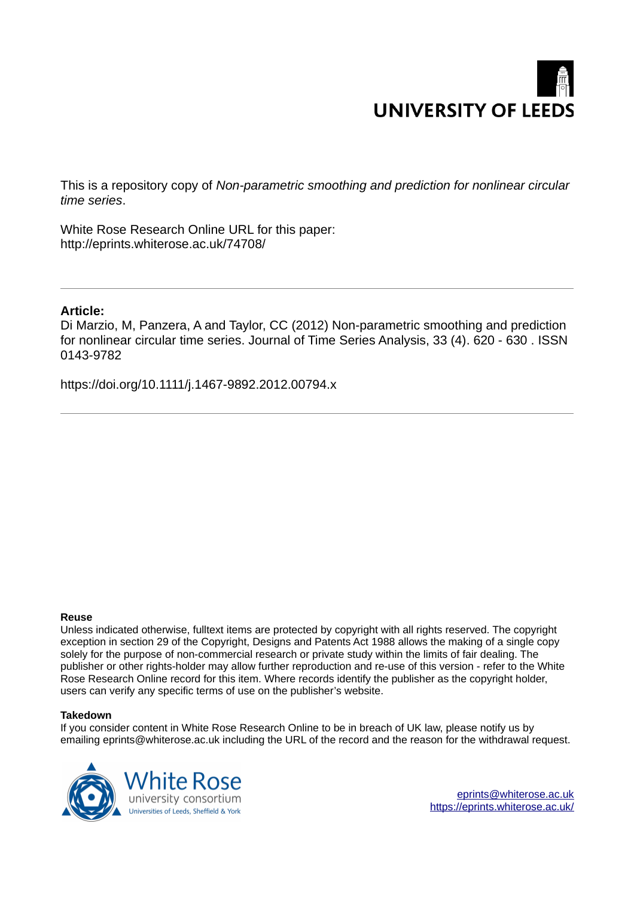# **UNIVERSITY OF LEEDS**

This is a repository copy of *Non-parametric smoothing and prediction for nonlinear circular time series*.

White Rose Research Online URL for this paper: http://eprints.whiterose.ac.uk/74708/

# **Article:**

Di Marzio, M, Panzera, A and Taylor, CC (2012) Non-parametric smoothing and prediction for nonlinear circular time series. Journal of Time Series Analysis, 33 (4). 620 - 630 . ISSN 0143-9782

https://doi.org/10.1111/j.1467-9892.2012.00794.x

# **Reuse**

Unless indicated otherwise, fulltext items are protected by copyright with all rights reserved. The copyright exception in section 29 of the Copyright, Designs and Patents Act 1988 allows the making of a single copy solely for the purpose of non-commercial research or private study within the limits of fair dealing. The publisher or other rights-holder may allow further reproduction and re-use of this version - refer to the White Rose Research Online record for this item. Where records identify the publisher as the copyright holder, users can verify any specific terms of use on the publisher's website.

# **Takedown**

If you consider content in White Rose Research Online to be in breach of UK law, please notify us by emailing eprints@whiterose.ac.uk including the URL of the record and the reason for the withdrawal request.

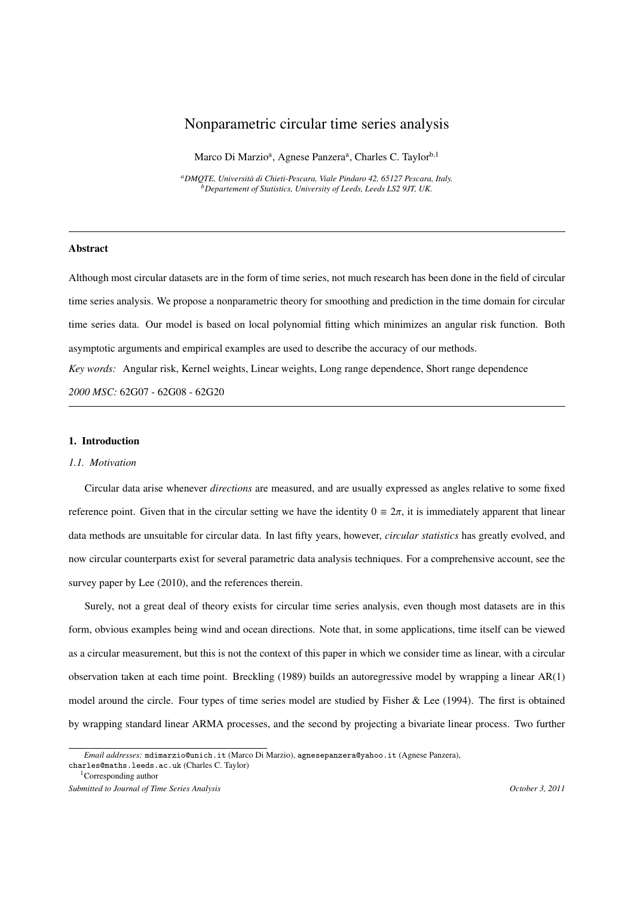# Nonparametric circular time series analysis

Marco Di Marzio<sup>a</sup>, Agnese Panzera<sup>a</sup>, Charles C. Taylor<sup>b,1</sup>

*<sup>a</sup>DMQTE, Universit`a di Chieti-Pescara, Viale Pindaro 42, 65127 Pescara, Italy. <sup>b</sup>Departement of Statistics, University of Leeds, Leeds LS2 9JT, UK.*

#### Abstract

Although most circular datasets are in the form of time series, not much research has been done in the field of circular time series analysis. We propose a nonparametric theory for smoothing and prediction in the time domain for circular time series data. Our model is based on local polynomial fitting which minimizes an angular risk function. Both asymptotic arguments and empirical examples are used to describe the accuracy of our methods. *Key words:* Angular risk, Kernel weights, Linear weights, Long range dependence, Short range dependence *2000 MSC:* 62G07 - 62G08 - 62G20

### 1. Introduction

#### *1.1. Motivation*

Circular data arise whenever *directions* are measured, and are usually expressed as angles relative to some fixed reference point. Given that in the circular setting we have the identity  $0 = 2\pi$ , it is immediately apparent that linear data methods are unsuitable for circular data. In last fifty years, however, *circular statistics* has greatly evolved, and now circular counterparts exist for several parametric data analysis techniques. For a comprehensive account, see the survey paper by Lee  $(2010)$ , and the references therein.

Surely, not a great deal of theory exists for circular time series analysis, even though most datasets are in this form, obvious examples being wind and ocean directions. Note that, in some applications, time itself can be viewed as a circular measurement, but this is not the context of this paper in which we consider time as linear, with a circular observation taken at each time point. Breckling (1989) builds an autoregressive model by wrapping a linear AR(1) model around the circle. Four types of time series model are studied by Fisher & Lee (1994). The first is obtained by wrapping standard linear ARMA processes, and the second by projecting a bivariate linear process. Two further

*Email addresses:* mdimarzio@unich.it (Marco Di Marzio), agnesepanzera@yahoo.it (Agnese Panzera), charles@maths.leeds.ac.uk (Charles C. Taylor)

<sup>1</sup>Corresponding author

*Submitted to Journal of Time Series Analysis October 3, 2011*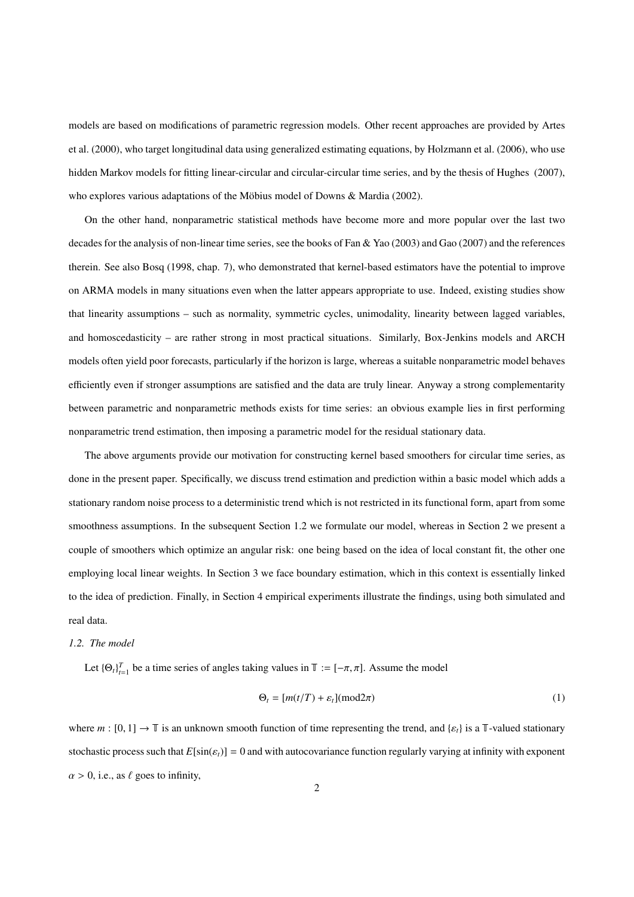models are based on modifications of parametric regression models. Other recent approaches are provided by Artes et al. (2000), who target longitudinal data using generalized estimating equations, by Holzmann et al. (2006), who use hidden Markov models for fitting linear-circular and circular-circular time series, and by the thesis of Hughes (2007), who explores various adaptations of the Möbius model of Downs & Mardia (2002).

On the other hand, nonparametric statistical methods have become more and more popular over the last two decades for the analysis of non-linear time series, see the books of Fan & Yao (2003) and Gao (2007) and the references therein. See also Bosq (1998, chap. 7), who demonstrated that kernel-based estimators have the potential to improve on ARMA models in many situations even when the latter appears appropriate to use. Indeed, existing studies show that linearity assumptions – such as normality, symmetric cycles, unimodality, linearity between lagged variables, and homoscedasticity – are rather strong in most practical situations. Similarly, Box-Jenkins models and ARCH models often yield poor forecasts, particularly if the horizon is large, whereas a suitable nonparametric model behaves efficiently even if stronger assumptions are satisfied and the data are truly linear. Anyway a strong complementarity between parametric and nonparametric methods exists for time series: an obvious example lies in first performing nonparametric trend estimation, then imposing a parametric model for the residual stationary data.

The above arguments provide our motivation for constructing kernel based smoothers for circular time series, as done in the present paper. Specifically, we discuss trend estimation and prediction within a basic model which adds a stationary random noise process to a deterministic trend which is not restricted in its functional form, apart from some smoothness assumptions. In the subsequent Section 1.2 we formulate our model, whereas in Section 2 we present a couple of smoothers which optimize an angular risk: one being based on the idea of local constant fit, the other one employing local linear weights. In Section 3 we face boundary estimation, which in this context is essentially linked to the idea of prediction. Finally, in Section 4 empirical experiments illustrate the findings, using both simulated and real data.

#### *1.2. The model*

Let  ${\{\Theta_t\}}_{t=1}^T$  be a time series of angles taking values in  $\mathbb{T} := [-\pi, \pi]$ . Assume the model

$$
\Theta_t = [m(t/T) + \varepsilon_t](\text{mod}2\pi) \tag{1}
$$

where  $m : [0, 1] \rightarrow \mathbb{T}$  is an unknown smooth function of time representing the trend, and  $\{\varepsilon_t\}$  is a T-valued stationary stochastic process such that  $E[\sin(\epsilon_t)] = 0$  and with autocovariance function regularly varying at infinity with exponent  $\alpha > 0$ , i.e., as  $\ell$  goes to infinity,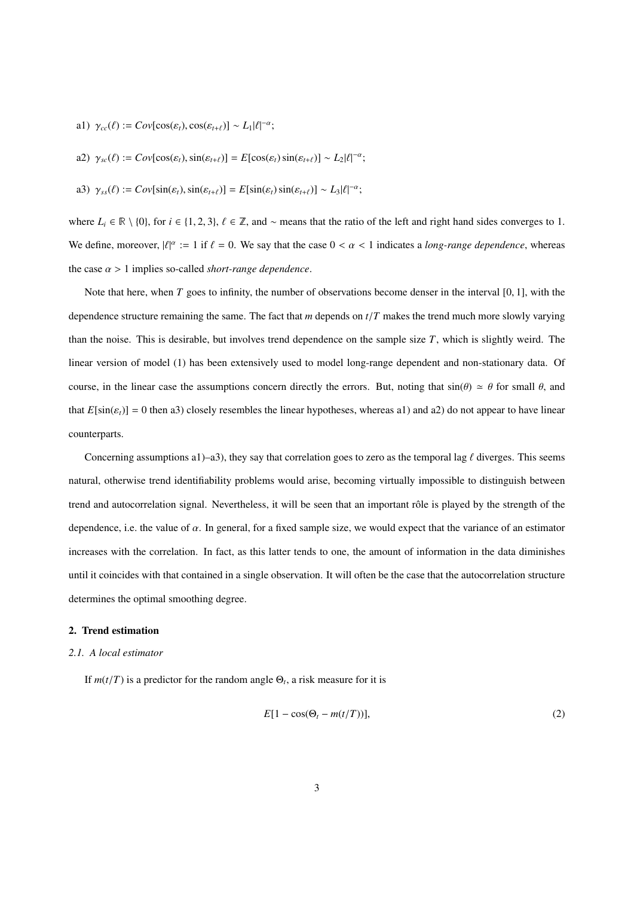a1)  $\gamma_{cc}(\ell) := Cov[\cos(\varepsilon_t), \cos(\varepsilon_{t+\ell})] \sim L_1 |\ell|^{-\alpha};$ 

a2) 
$$
\gamma_{sc}(\ell) := Cov[cos(\varepsilon_t), sin(\varepsilon_{t+\ell})] = E[cos(\varepsilon_t) sin(\varepsilon_{t+\ell})] \sim L_2 |\ell|^{-\alpha};
$$

a3) 
$$
\gamma_{ss}(\ell) := Cov[\sin(\varepsilon_t), \sin(\varepsilon_{t+\ell})] = E[\sin(\varepsilon_t) \sin(\varepsilon_{t+\ell})] \sim L_3 |\ell|^{-\alpha};
$$

where  $L_i \in \mathbb{R} \setminus \{0\}$ , for  $i \in \{1, 2, 3\}$ ,  $\ell \in \mathbb{Z}$ , and ~ means that the ratio of the left and right hand sides converges to 1. We define, moreover,  $|\ell|^{\alpha} := 1$  if  $\ell = 0$ . We say that the case  $0 < \alpha < 1$  indicates a *long-range dependence*, whereas the case  $\alpha > 1$  implies so-called *short-range dependence*.

Note that here, when *T* goes to infinity, the number of observations become denser in the interval [0, 1], with the dependence structure remaining the same. The fact that *m* depends on *t*/*T* makes the trend much more slowly varying than the noise. This is desirable, but involves trend dependence on the sample size *T*, which is slightly weird. The linear version of model (1) has been extensively used to model long-range dependent and non-stationary data. Of course, in the linear case the assumptions concern directly the errors. But, noting that  $sin(\theta) \approx \theta$  for small  $\theta$ , and that  $E[\sin(\varepsilon_t)] = 0$  then a3) closely resembles the linear hypotheses, whereas a1) and a2) do not appear to have linear counterparts.

Concerning assumptions a1)–a3), they say that correlation goes to zero as the temporal lag  $\ell$  diverges. This seems natural, otherwise trend identifiability problems would arise, becoming virtually impossible to distinguish between trend and autocorrelation signal. Nevertheless, it will be seen that an important rôle is played by the strength of the dependence, i.e. the value of  $\alpha$ . In general, for a fixed sample size, we would expect that the variance of an estimator increases with the correlation. In fact, as this latter tends to one, the amount of information in the data diminishes until it coincides with that contained in a single observation. It will often be the case that the autocorrelation structure determines the optimal smoothing degree.

#### 2. Trend estimation

#### *2.1. A local estimator*

If  $m(t/T)$  is a predictor for the random angle  $\Theta_t$ , a risk measure for it is

$$
E[1 - \cos(\Theta_t - m(t/T))],\tag{2}
$$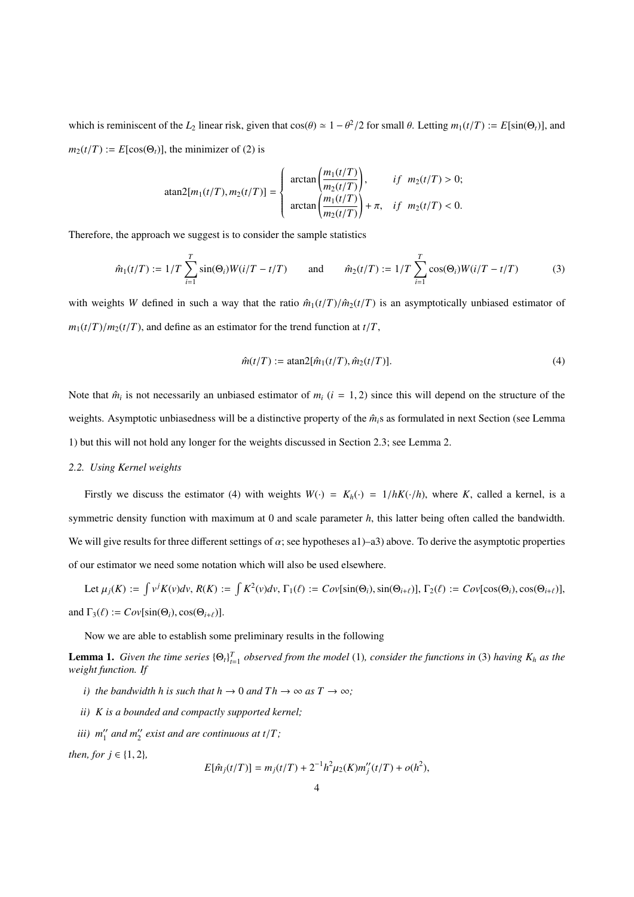which is reminiscent of the  $L_2$  linear risk, given that  $cos(\theta) \approx 1 - \theta^2/2$  for small  $\theta$ . Letting  $m_1(t/T) := E[sin(\Theta_t)],$  and  $m_2(t/T) := E[\cos(\Theta_t)]$ , the minimizer of (2) is

atan2[m<sub>1</sub>(t/T), m<sub>2</sub>(t/T)] = 
$$
\begin{cases} \arctan\left(\frac{m_1(t/T)}{m_2(t/T)}\right), & if m_2(t/T) > 0; \\ \arctan\left(\frac{m_1(t/T)}{m_2(t/T)}\right) + π, & if m_2(t/T) < 0. \end{cases}
$$

Therefore, the approach we suggest is to consider the sample statistics

$$
\hat{m}_1(t/T) := 1/T \sum_{i=1}^T \sin(\Theta_i) W(i/T - t/T) \quad \text{and} \quad \hat{m}_2(t/T) := 1/T \sum_{i=1}^T \cos(\Theta_i) W(i/T - t/T) \quad (3)
$$

with weights *W* defined in such a way that the ratio  $\hat{m}_1(t/T)/\hat{m}_2(t/T)$  is an asymptotically unbiased estimator of  $m_1(t/T)/m_2(t/T)$ , and define as an estimator for the trend function at  $t/T$ ,

$$
\hat{m}(t/T) := \operatorname{atan2}[\hat{m}_1(t/T), \hat{m}_2(t/T)]. \tag{4}
$$

Note that  $\hat{m}_i$  is not necessarily an unbiased estimator of  $m_i$  ( $i = 1, 2$ ) since this will depend on the structure of the weights. Asymptotic unbiasedness will be a distinctive property of the  $\hat{m}_i$ s as formulated in next Section (see Lemma 1) but this will not hold any longer for the weights discussed in Section 2.3; see Lemma 2.

#### *2.2. Using Kernel weights*

Firstly we discuss the estimator (4) with weights  $W(\cdot) = K_h(\cdot) = 1/hK(\cdot/h)$ , where *K*, called a kernel, is a symmetric density function with maximum at 0 and scale parameter *h*, this latter being often called the bandwidth. We will give results for three different settings of  $\alpha$ ; see hypotheses a1)–a3) above. To derive the asymptotic properties of our estimator we need some notation which will also be used elsewhere.

Let  $\mu_j(K) := \int v^j K(v) dv$ ,  $R(K) := \int K^2(v) dv$ ,  $\Gamma_1(\ell) := Cov[\sin(\Theta_i), \sin(\Theta_{i+\ell})], \Gamma_2(\ell) := Cov[\cos(\Theta_i), \cos(\Theta_{i+\ell})],$ and  $\Gamma_3(\ell) := Cov[\sin(\Theta_i), \cos(\Theta_{i+\ell})].$ 

Now we are able to establish some preliminary results in the following

**Lemma 1.** Given the time series  ${\{\Theta_t\}}_{t=1}^T$  observed from the model (1), consider the functions in (3) having  $K_h$  as the *weight function. If*

- *i)* the bandwidth h is such that  $h \to 0$  and  $Th \to \infty$  as  $T \to \infty$ ;
- *ii) K is a bounded and compactly supported kernel;*
- *iii*)  $m''_1$  and  $m''_2$  exist and are continuous at  $t/T$ ;

*then, for*  $j \in \{1, 2\}$ *,* 

$$
E[\hat{m}_j(t/T)] = m_j(t/T) + 2^{-1}h^2\mu_2(K)m''_j(t/T) + o(h^2),
$$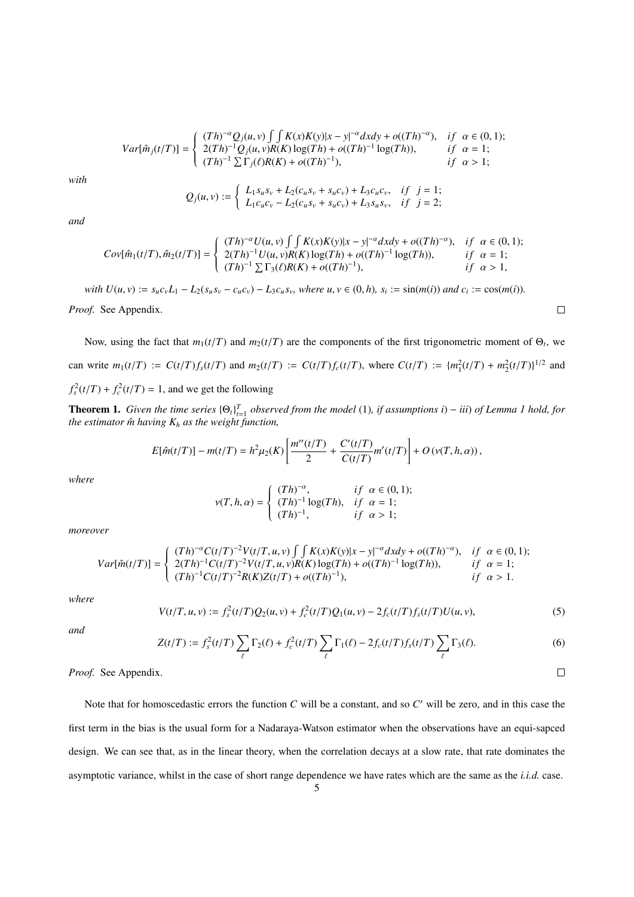$$
Var[\hat{m}_j(t/T)] = \begin{cases} (Th)^{-\alpha} Q_j(u, v) \int \int K(x)K(y)|x - y|^{-\alpha}dxdy + o((Th)^{-\alpha}), & if \alpha \in (0, 1); \\ 2(Th)^{-1} Q_j(u, v)R(K) \log(Th) + o((Th)^{-1} \log(Th)), & if \alpha = 1; \\ (Th)^{-1} \sum \Gamma_j(\ell)R(K) + o((Th)^{-1}), & if \alpha > 1; \end{cases}
$$

*with*

$$
Q_j(u, v) := \begin{cases} L_1 s_u s_v + L_2(c_u s_v + s_u c_v) + L_3 c_u c_v, & if \ j = 1; \\ L_1 c_u c_v - L_2(c_u s_v + s_u c_v) + L_3 s_u s_v, & if \ j = 2; \end{cases}
$$

*and*

$$
Cov[\hat{m}_1(t/T), \hat{m}_2(t/T)] = \begin{cases} (Th)^{-\alpha} U(u, v) \int \int K(x)K(y)|x - y|^{-\alpha}dxdy + o((Th)^{-\alpha}), & if \alpha \in (0, 1); \\ 2(Th)^{-1} U(u, v)R(K) \log(Th) + o((Th)^{-1} \log(Th)), & if \alpha = 1; \\ (Th)^{-1} \sum \Gamma_3(\ell)R(K) + o((Th)^{-1}), & if \alpha > 1, \end{cases}
$$

with  $U(u, v) := s_u c_v L_1 - L_2(s_u s_v - c_u c_v) - L_3 c_u s_v$ , where  $u, v \in (0, h)$ ,  $s_i := \sin(m(i))$  and  $c_i := \cos(m(i))$ .

*Proof.* See Appendix.

Now, using the fact that  $m_1(t/T)$  and  $m_2(t/T)$  are the components of the first trigonometric moment of  $\Theta_t$ , we can write  $m_1(t/T) := C(t/T) f_s(t/T)$  and  $m_2(t/T) := C(t/T) f_c(t/T)$ , where  $C(t/T) := \{m_1^2(t/T) + m_2^2(t/T)\}^{1/2}$  and  $f_s^2(t/T) + f_c^2(t/T) = 1$ , and we get the following

**Theorem 1.** Given the time series  ${\Theta_t}_{t=1}^T$  observed from the model (1), if assumptions i) – iii) of Lemma 1 hold, for *the estimator*  $\hat{m}$  *having*  $K_h$  *as the weight function,* 

$$
E[\hat{m}(t/T)] - m(t/T) = h^2 \mu_2(K) \left[ \frac{m''(t/T)}{2} + \frac{C'(t/T)}{C(t/T)} m'(t/T) \right] + O(v(T, h, \alpha)),
$$

*where*

$$
\nu(T,h,\alpha)=\left\{\begin{array}{lll}(Th)^{-\alpha},&if\ \alpha\in(0,1);\\(Th)^{-1}\log(Th),&if\ \alpha=1;\\(Th)^{-1},&if\ \alpha>1;\end{array}\right.
$$

*moreover*

$$
Var[\hat{m}(t/T)] = \begin{cases} (Th)^{-\alpha} C(t/T)^{-2} V(t/T, u, v) \int \int K(x) K(y) |x - y|^{-\alpha} dx dy + o((Th)^{-\alpha}), & if \alpha \in (0, 1); \\ 2(Th)^{-1} C(t/T)^{-2} V(t/T, u, v) R(K) \log(Th) + o((Th)^{-1} \log(Th)), & if \alpha = 1; \\ (Th)^{-1} C(t/T)^{-2} R(K) Z(t/T) + o((Th)^{-1}), & if \alpha > 1. \end{cases}
$$

*where*

$$
V(t/T, u, v) := f_s^2(t/T)Q_2(u, v) + f_c^2(t/T)Q_1(u, v) - 2f_c(t/T)f_s(t/T)U(u, v),
$$
\n(5)

*and*

$$
Z(t/T) := f_s^2(t/T) \sum_{\ell} \Gamma_2(\ell) + f_c^2(t/T) \sum_{\ell} \Gamma_1(\ell) - 2f_c(t/T) f_s(t/T) \sum_{\ell} \Gamma_3(\ell). \tag{6}
$$

*Proof.* See Appendix.

Note that for homoscedastic errors the function *C* will be a constant, and so *C* ′ will be zero, and in this case the first term in the bias is the usual form for a Nadaraya-Watson estimator when the observations have an equi-sapced design. We can see that, as in the linear theory, when the correlation decays at a slow rate, that rate dominates the asymptotic variance, whilst in the case of short range dependence we have rates which are the same as the *i.i.d.* case.

 $\Box$ 

 $\Box$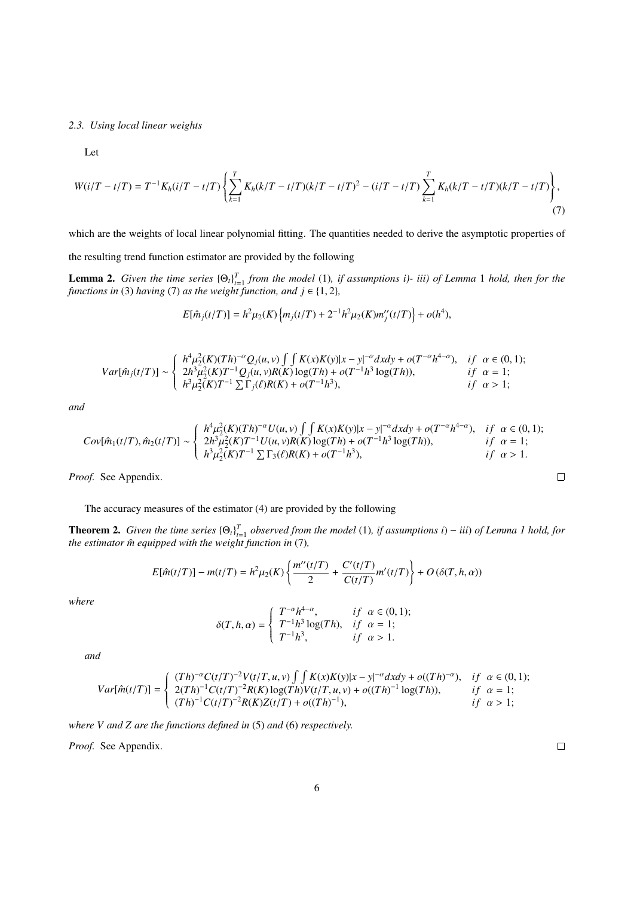*2.3. Using local linear weights*

Let

$$
W(i/T - t/T) = T^{-1}K_h(i/T - t/T)\left\{\sum_{k=1}^T K_h(k/T - t/T)(k/T - t/T)^2 - (i/T - t/T)\sum_{k=1}^T K_h(k/T - t/T)(k/T - t/T)\right\},\tag{7}
$$

which are the weights of local linear polynomial fitting. The quantities needed to derive the asymptotic properties of

the resulting trend function estimator are provided by the following

**Lemma 2.** Given the time series  ${\Theta_t}_{t=1}^T$  from the model (1), if assumptions i)- iii) of Lemma 1 hold, then for the *functions in* (3) *having* (7) *as the weight function, and*  $j \in \{1, 2\}$ *,* 

$$
E[\hat{m}_j(t/T)] = h^2 \mu_2(K) \left\{ m_j(t/T) + 2^{-1} h^2 \mu_2(K) m''_j(t/T) \right\} + o(h^4),
$$

$$
Var[\hat{m}_j(t/T)] \sim \begin{cases} h^4 \mu_2^2(K)(Th)^{-\alpha} Q_j(u, v) \int \int K(x)K(y)|x - y|^{-\alpha} dxdy + o(T^{-\alpha}h^{4-\alpha}), & if \alpha \in (0, 1); \\ 2h^3 \mu_2^2(K)T^{-1} Q_j(u, v)R(K) \log(Th) + o(T^{-1}h^3 \log(Th)), & if \alpha = 1; \\ h^3 \mu_2^2(K)T^{-1} \sum \Gamma_j(\ell)R(K) + o(T^{-1}h^3), & if \alpha > 1; \end{cases}
$$

*and*

$$
Cov[\hat{m}_1(t/T), \hat{m}_2(t/T)] \sim \begin{cases} h^4 \mu_2^2(K)(Th)^{-\alpha} U(u, v) \int \int K(x)K(y)|x - y|^{-\alpha} dxdy + o(T^{-\alpha}h^{4-\alpha}), & if \alpha \in (0, 1); \\ 2h^3 \mu_2^2(K)T^{-1} U(u, v)R(K) \log(Th) + o(T^{-1}h^3 \log(Th)), & if \alpha = 1; \\ h^3 \mu_2^2(K)T^{-1} \sum \Gamma_3(\ell)R(K) + o(T^{-1}h^3), & if \alpha > 1. \end{cases}
$$

*Proof.* See Appendix.

The accuracy measures of the estimator (4) are provided by the following

**Theorem 2.** Given the time series  ${\Theta_t}_{t=1}^T$  observed from the model (1), if assumptions i) – *iii*) of Lemma 1 hold, for *the estimator m̂ equipped with the weight function in* (7),

$$
E[\hat{m}(t/T)] - m(t/T) = h^2 \mu_2(K) \left\{ \frac{m''(t/T)}{2} + \frac{C'(t/T)}{C(t/T)} m'(t/T) \right\} + O(\delta(T, h, \alpha))
$$

*where*

$$
\delta(T, h, \alpha) = \begin{cases} T^{-\alpha} h^{4-\alpha}, & \text{if } \alpha \in (0, 1); \\ T^{-1} h^3 \log(Th), & \text{if } \alpha = 1; \\ T^{-1} h^3, & \text{if } \alpha > 1. \end{cases}
$$

*and*

$$
Var[\hat{m}(t/T)] = \begin{cases} (Th)^{-\alpha} C(t/T)^{-2} V(t/T, u, v) \int \int K(x) K(y) |x - y|^{-\alpha} dx dy + o((Th)^{-\alpha}), & if \alpha \in (0, 1); \\ 2(Th)^{-1} C(t/T)^{-2} R(K) \log(Th) V(t/T, u, v) + o((Th)^{-1} \log(Th)), & if \alpha = 1; \\ (Th)^{-1} C(t/T)^{-2} R(K) Z(t/T) + o((Th)^{-1}), & if \alpha > 1; \end{cases}
$$

*where V and Z are the functions defined in* (5) *and* (6) *respectively.*

*Proof.* See Appendix.

 $\Box$ 

 $\Box$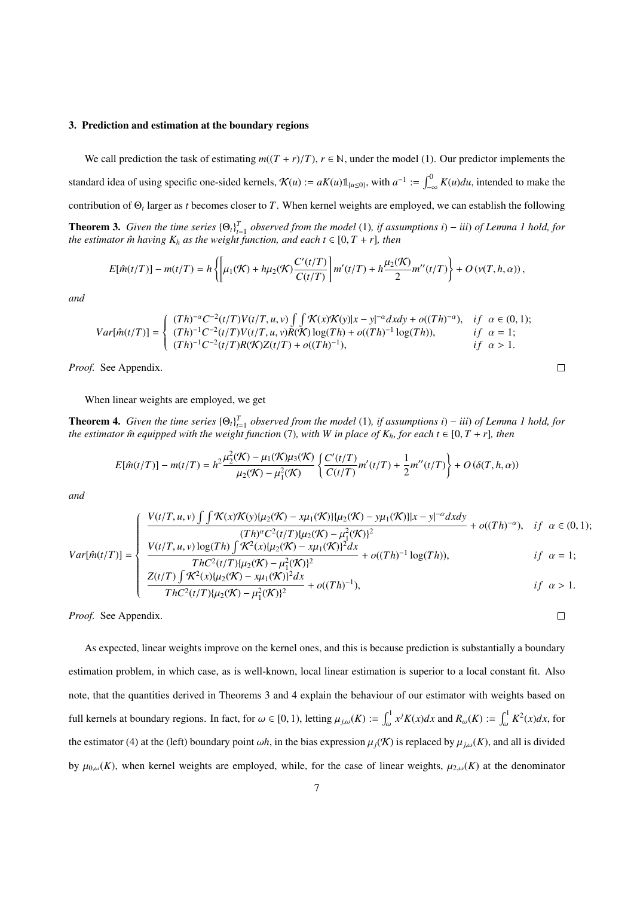#### 3. Prediction and estimation at the boundary regions

We call prediction the task of estimating  $m((T + r)/T)$ ,  $r \in \mathbb{N}$ , under the model (1). Our predictor implements the standard idea of using specific one-sided kernels,  $\mathcal{K}(u) := aK(u)\mathbb{1}_{\{u\leq 0\}}$ , with  $a^{-1} := \int_{-\infty}^{0} K(u)du$ , intended to make the contribution of Θ*<sup>t</sup>* larger as *t* becomes closer to *T*. When kernel weights are employed, we can establish the following **Theorem 3.** *Given the time series*  ${\Theta_t}_{t=1}^T$  *observed from the model* (1)*, if assumptions i*) – *iii*) *of Lemma 1 hold, for the estimator*  $\hat{m}$  *having*  $K_h$  *as the weight function, and each t*  $\in$  [0, *T* + *r*]*, then* 

$$
E[\hat{m}(t/T)] - m(t/T) = h\left\{ \left[ \mu_1(\mathcal{K}) + h\mu_2(\mathcal{K}) \frac{C'(t/T)}{C(t/T)} \right] m'(t/T) + h\frac{\mu_2(\mathcal{K})}{2} m''(t/T) \right\} + O(\nu(T, h, \alpha)),
$$

*and*

$$
Var[\hat{m}(t/T)] = \begin{cases} (Th)^{-\alpha} C^{-2}(t/T) V(t/T, u, v) \int \int \mathcal{K}(x) \mathcal{K}(y) |x - y|^{-\alpha} dxdy + o((Th)^{-\alpha}), & if \alpha \in (0, 1); \\ (Th)^{-1} C^{-2}(t/T) V(t/T, u, v) R(\mathcal{K}) \log(Th) + o((Th)^{-1} \log(Th)), & if \alpha = 1; \\ (Th)^{-1} C^{-2}(t/T) R(\mathcal{K}) Z(t/T) + o((Th)^{-1}), & if \alpha > 1. \end{cases}
$$

 $\Box$ 

 $\Box$ 

*Proof.* See Appendix.

When linear weights are employed, we get

**Theorem 4.** Given the time series  ${\Theta_t}_{t=1}^T$  observed from the model (1), if assumptions i) – iii) of Lemma 1 hold, for *the estimator*  $\hat{m}$  *equipped with the weight function* (7)*, with W in place of*  $K_h$ *, for each*  $t \in [0, T + r]$ *, then* 

$$
E[\hat{m}(t/T)] - m(t/T) = h^2 \frac{\mu_2^2(\mathcal{K}) - \mu_1(\mathcal{K})\mu_3(\mathcal{K})}{\mu_2(\mathcal{K}) - \mu_1^2(\mathcal{K})} \left\{ \frac{C'(t/T)}{C(t/T)} m'(t/T) + \frac{1}{2} m''(t/T) \right\} + O(\delta(T, h, \alpha))
$$

*and*

$$
Var[\hat{m}(t/T)] = \begin{cases} \frac{V(t/T, u, v) \int \int \mathcal{K}(x) \mathcal{K}(y) \{u_2(\mathcal{K}) - x\mu_1(\mathcal{K})\} \{u_2(\mathcal{K}) - y\mu_1(\mathcal{K})\} |x - y|^{-\alpha} dxdy}{(Th)^{\alpha} C^2(t/T) \{u_2(\mathcal{K}) - \mu_1^2(\mathcal{K})\}^2} + o((Th)^{-\alpha}), & if \alpha \in (0, 1); \\ \frac{V(t/T, u, v) \log(Th) \int \mathcal{K}^2(x) \{u_2(\mathcal{K}) - x\mu_1(\mathcal{K})\}^2 dx}{ThC^2(t/T) \{u_2(\mathcal{K}) - \mu_1^2(\mathcal{K})\}^2} + o((Th)^{-1} \log(Th)), & if \alpha = 1; \\ \frac{Z(t/T) \int \mathcal{K}^2(x) \{u_2(\mathcal{K}) - x\mu_1(\mathcal{K})\}^2 dx}{ThC^2(t/T) \{u_2(\mathcal{K}) - \mu_1^2(\mathcal{K})\}^2} + o((Th)^{-1}), & if \alpha > 1. \end{cases}
$$

*Proof.* See Appendix.

As expected, linear weights improve on the kernel ones, and this is because prediction is substantially a boundary estimation problem, in which case, as is well-known, local linear estimation is superior to a local constant fit. Also note, that the quantities derived in Theorems 3 and 4 explain the behaviour of our estimator with weights based on full kernels at boundary regions. In fact, for  $\omega \in [0, 1)$ , letting  $\mu_{j,\omega}(K) := \int_{\omega}^{1} x^{j} K(x) dx$  and  $R_{\omega}(K) := \int_{\omega}^{1} K^{2}(x) dx$ , for the estimator (4) at the (left) boundary point  $\omega h$ , in the bias expression  $\mu_j(\mathcal{K})$  is replaced by  $\mu_{j,\omega}(K)$ , and all is divided by  $\mu_{0,\omega}(K)$ , when kernel weights are employed, while, for the case of linear weights,  $\mu_{2,\omega}(K)$  at the denominator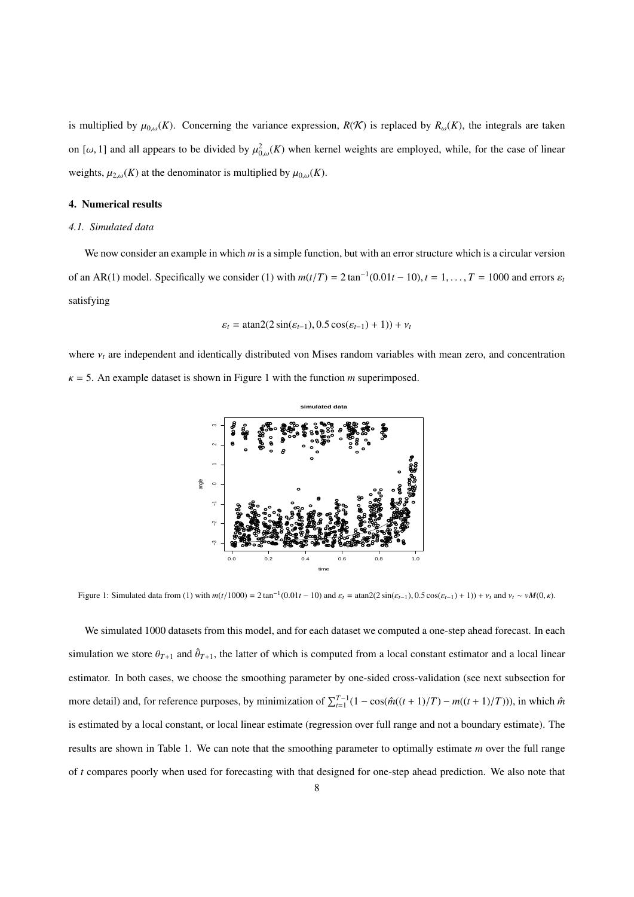is multiplied by  $\mu_{0,\omega}(K)$ . Concerning the variance expression,  $R(K)$  is replaced by  $R_{\omega}(K)$ , the integrals are taken on [ $\omega$ , 1] and all appears to be divided by  $\mu_{0,\omega}^2(K)$  when kernel weights are employed, while, for the case of linear weights,  $\mu_{2,\omega}(K)$  at the denominator is multiplied by  $\mu_{0,\omega}(K)$ .

## 4. Numerical results

#### *4.1. Simulated data*

We now consider an example in which *m* is a simple function, but with an error structure which is a circular version of an AR(1) model. Specifically we consider (1) with  $m(t/T) = 2 \tan^{-1}(0.01t - 10)$ ,  $t = 1, ..., T = 1000$  and errors  $\varepsilon_t$ satisfying

$$
\varepsilon_t = \operatorname{atan2}(2\sin(\varepsilon_{t-1}), 0.5\cos(\varepsilon_{t-1}) + 1)) + v_t
$$

where  $v_t$  are independent and identically distributed von Mises random variables with mean zero, and concentration  $\kappa$  = 5. An example dataset is shown in Figure 1 with the function *m* superimposed.



Figure 1: Simulated data from (1) with  $m(t/1000) = 2 \tan^{-1}(0.01t - 10)$  and  $\varepsilon_t = \tan 2(2 \sin(\varepsilon_{t-1}), 0.5 \cos(\varepsilon_{t-1}) + 1)) + v_t$  and  $v_t \sim vM(0, \kappa)$ .

We simulated 1000 datasets from this model, and for each dataset we computed a one-step ahead forecast. In each simulation we store  $\theta_{T+1}$  and  $\hat{\theta}_{T+1}$ , the latter of which is computed from a local constant estimator and a local linear estimator. In both cases, we choose the smoothing parameter by one-sided cross-validation (see next subsection for more detail) and, for reference purposes, by minimization of  $\sum_{t=1}^{T-1} (1 - \cos(\hat{m}((t+1)/T) - m((t+1)/T)))$ , in which  $\hat{m}$ is estimated by a local constant, or local linear estimate (regression over full range and not a boundary estimate). The results are shown in Table 1. We can note that the smoothing parameter to optimally estimate *m* over the full range of *t* compares poorly when used for forecasting with that designed for one-step ahead prediction. We also note that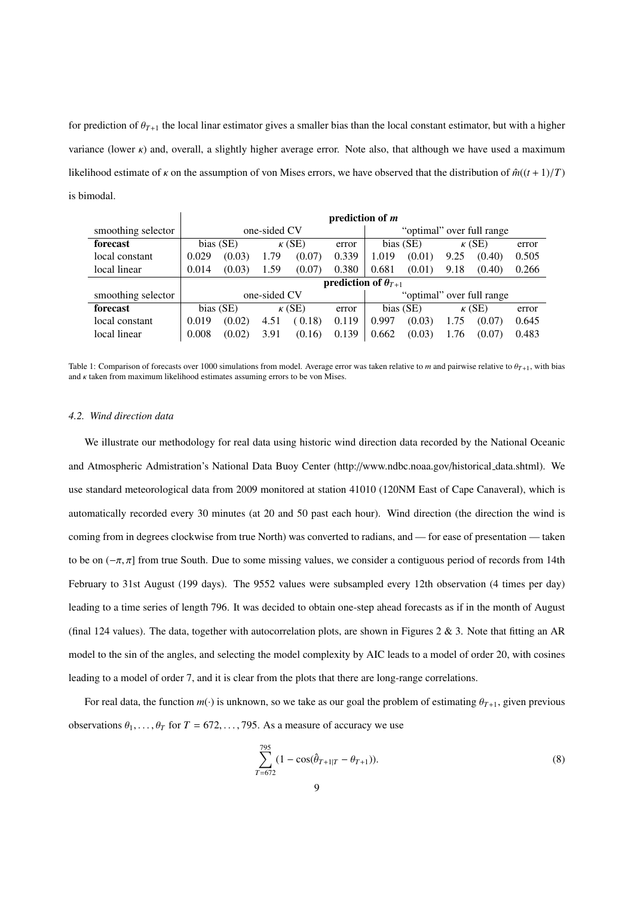for prediction of  $\theta_{T+1}$  the local linar estimator gives a smaller bias than the local constant estimator, but with a higher variance (lower  $\kappa$ ) and, overall, a slightly higher average error. Note also, that although we have used a maximum likelihood estimate of  $\kappa$  on the assumption of von Mises errors, we have observed that the distribution of  $\hat{m}((t+1)/T)$ is bimodal.

|                    | prediction of m                                |        |               |        |       |                           |        |               |        |       |
|--------------------|------------------------------------------------|--------|---------------|--------|-------|---------------------------|--------|---------------|--------|-------|
| smoothing selector | one-sided CV                                   |        |               |        |       | "optimal" over full range |        |               |        |       |
| forecast           | bias (SE)                                      |        | $\kappa$ (SE) |        | error | bias (SE)                 |        | $\kappa$ (SE) |        | error |
| local constant     | 0.029                                          | (0.03) | 1.79          | (0.07) | 0.339 | 1.019                     | (0.01) | 9.25          | (0.40) | 0.505 |
| local linear       | 0.014                                          | (0.03) | 1.59          | (0.07) | 0.380 | 0.681                     | (0.01) | 9.18          | (0.40) | 0.266 |
|                    | <b>prediction of <math>\theta_{T+1}</math></b> |        |               |        |       |                           |        |               |        |       |
| smoothing selector | one-sided CV                                   |        |               |        |       | "optimal" over full range |        |               |        |       |
| forecast           | bias (SE)                                      |        | $\kappa$ (SE) |        | error | bias (SE)                 |        | $\kappa$ (SE) |        | error |
| local constant     | 0.019                                          | (0.02) | 4.51          | (0.18) | 0.119 | 0.997                     | (0.03) | 1.75          | (0.07) | 0.645 |
| local linear       | 0.008                                          | (0.02) | 3.91          | (0.16) | 0.139 | 0.662                     | (0.03) | 1.76          | (0.07) | 0.483 |

Table 1: Comparison of forecasts over 1000 simulations from model. Average error was taken relative to *m* and pairwise relative to θ*T*+1, with bias and  $\kappa$  taken from maximum likelihood estimates assuming errors to be von Mises.

## *4.2. Wind direction data*

We illustrate our methodology for real data using historic wind direction data recorded by the National Oceanic and Atmospheric Admistration's National Data Buoy Center (http://www.ndbc.noaa.gov/historical data.shtml). We use standard meteorological data from 2009 monitored at station 41010 (120NM East of Cape Canaveral), which is automatically recorded every 30 minutes (at 20 and 50 past each hour). Wind direction (the direction the wind is coming from in degrees clockwise from true North) was converted to radians, and — for ease of presentation — taken to be on  $(-\pi, \pi]$  from true South. Due to some missing values, we consider a contiguous period of records from 14th February to 31st August (199 days). The 9552 values were subsampled every 12th observation (4 times per day) leading to a time series of length 796. It was decided to obtain one-step ahead forecasts as if in the month of August (final 124 values). The data, together with autocorrelation plots, are shown in Figures 2 & 3. Note that fitting an AR model to the sin of the angles, and selecting the model complexity by AIC leads to a model of order 20, with cosines leading to a model of order 7, and it is clear from the plots that there are long-range correlations.

For real data, the function  $m(\cdot)$  is unknown, so we take as our goal the problem of estimating  $\theta_{T+1}$ , given previous observations  $\theta_1, \ldots, \theta_T$  for  $T = 672, \ldots, 795$ . As a measure of accuracy we use

$$
\sum_{T=672}^{795} (1 - \cos(\hat{\theta}_{T+1|T} - \theta_{T+1})).
$$
\n(8)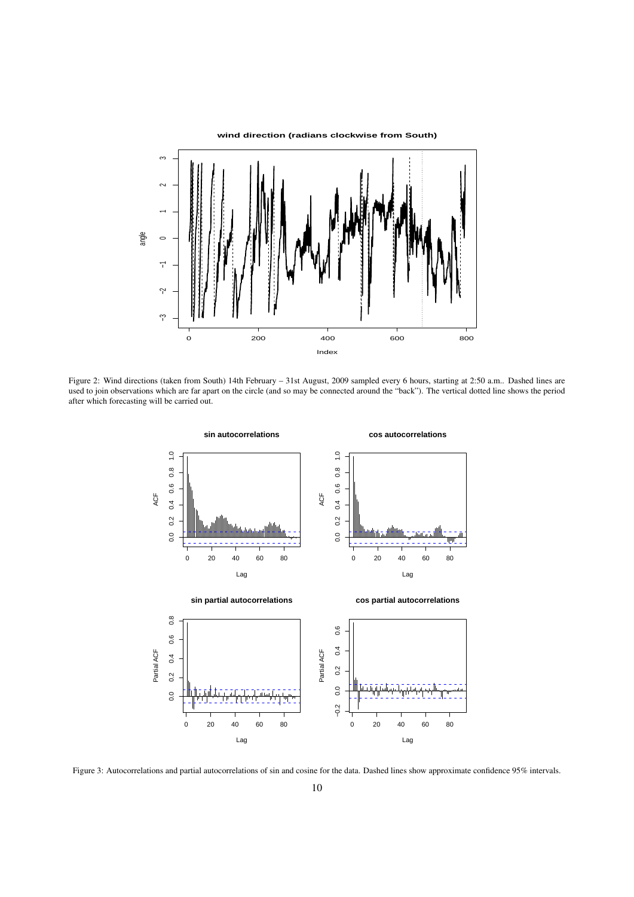

Figure 2: Wind directions (taken from South) 14th February – 31st August, 2009 sampled every 6 hours, starting at 2:50 a.m.. Dashed lines are used to join observations which are far apart on the circle (and so may be connected around the "back"). The vertical dotted line shows the period after which forecasting will be carried out.



Figure 3: Autocorrelations and partial autocorrelations of sin and cosine for the data. Dashed lines show approximate confidence 95% intervals.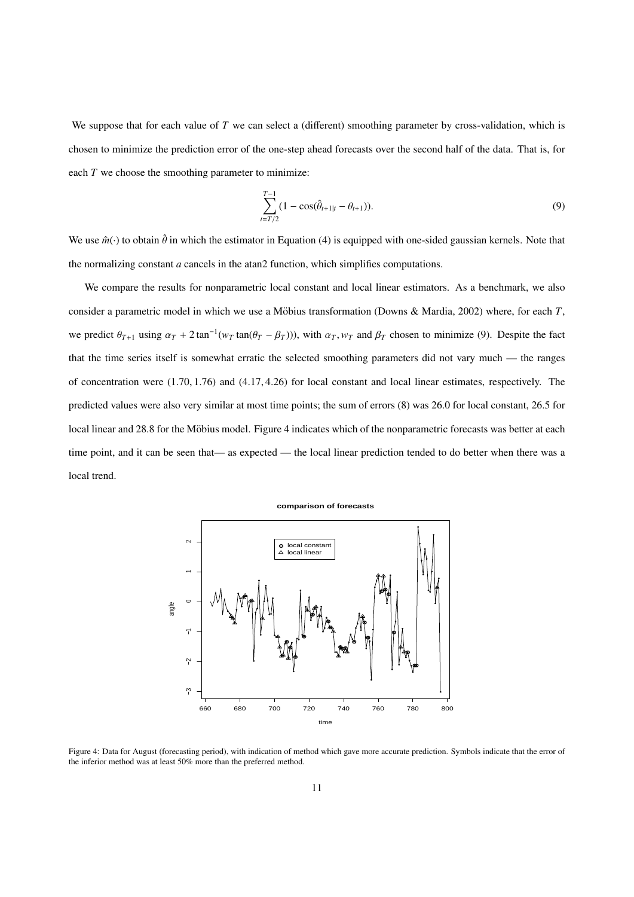We suppose that for each value of *T* we can select a (different) smoothing parameter by cross-validation, which is chosen to minimize the prediction error of the one-step ahead forecasts over the second half of the data. That is, for each *T* we choose the smoothing parameter to minimize:

$$
\sum_{t=T/2}^{T-1} (1 - \cos(\hat{\theta}_{t+1|t} - \theta_{t+1})).
$$
\n(9)

We use  $\hat{m}(\cdot)$  to obtain  $\hat{\theta}$  in which the estimator in Equation (4) is equipped with one-sided gaussian kernels. Note that the normalizing constant *a* cancels in the atan2 function, which simplifies computations.

We compare the results for nonparametric local constant and local linear estimators. As a benchmark, we also consider a parametric model in which we use a Möbius transformation (Downs & Mardia, 2002) where, for each  $T$ , we predict  $\theta_{T+1}$  using  $\alpha_T + 2 \tan^{-1}(w_T \tan(\theta_T - \beta_T))$ , with  $\alpha_T, w_T$  and  $\beta_T$  chosen to minimize (9). Despite the fact that the time series itself is somewhat erratic the selected smoothing parameters did not vary much — the ranges of concentration were  $(1.70, 1.76)$  and  $(4.17, 4.26)$  for local constant and local linear estimates, respectively. The predicted values were also very similar at most time points; the sum of errors (8) was 26.0 for local constant, 26.5 for local linear and 28.8 for the Möbius model. Figure 4 indicates which of the nonparametric forecasts was better at each time point, and it can be seen that— as expected — the local linear prediction tended to do better when there was a local trend.



Figure 4: Data for August (forecasting period), with indication of method which gave more accurate prediction. Symbols indicate that the error of the inferior method was at least 50% more than the preferred method.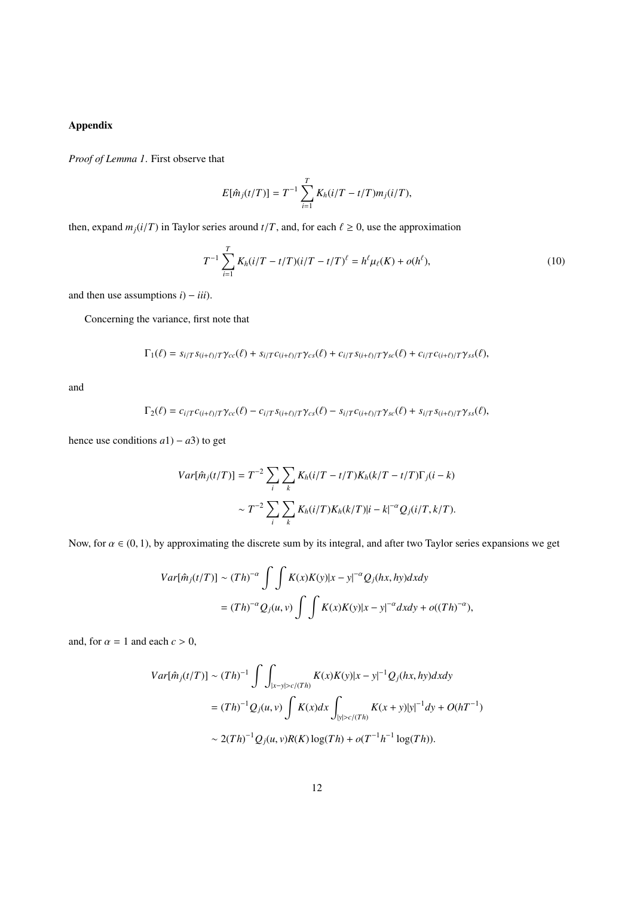# Appendix

*Proof of Lemma 1*. First observe that

$$
E[\hat{m}_j(t/T)] = T^{-1} \sum_{i=1}^T K_h(i/T - t/T)m_j(i/T),
$$

then, expand  $m_j(i/T)$  in Taylor series around  $t/T$ , and, for each  $\ell \ge 0$ , use the approximation

$$
T^{-1} \sum_{i=1}^{T} K_h(i/T - t/T)(i/T - t/T)^{\ell} = h^{\ell} \mu_{\ell}(K) + o(h^{\ell}), \qquad (10)
$$

and then use assumptions  $i$ ) −  $iii$ ).

Concerning the variance, first note that

$$
\Gamma_1(\ell) = s_{i/T} s_{(i+\ell)/T} \gamma_{cc}(\ell) + s_{i/T} c_{(i+\ell)/T} \gamma_{cs}(\ell) + c_{i/T} s_{(i+\ell)/T} \gamma_{sc}(\ell) + c_{i/T} c_{(i+\ell)/T} \gamma_{ss}(\ell),
$$

and

$$
\Gamma_2(\ell) = c_{i/T}c_{(i+\ell)/T}\gamma_{cc}(\ell) - c_{i/T}s_{(i+\ell)/T}\gamma_{cs}(\ell) - s_{i/T}c_{(i+\ell)/T}\gamma_{sc}(\ell) + s_{i/T}s_{(i+\ell)/T}\gamma_{ss}(\ell),
$$

hence use conditions  $a1$ ) −  $a3$ ) to get

$$
Var[\hat{m}_j(t/T)] = T^{-2} \sum_{i} \sum_{k} K_h(i/T - t/T) K_h(k/T - t/T) \Gamma_j(i - k)
$$

$$
\sim T^{-2} \sum_{i} \sum_{k} K_h(i/T) K_h(k/T) |i - k|^{-\alpha} Q_j(i/T, k/T).
$$

Now, for  $\alpha \in (0, 1)$ , by approximating the discrete sum by its integral, and after two Taylor series expansions we get

$$
Var[\hat{m}_j(t/T)] \sim (Th)^{-\alpha} \int \int K(x)K(y)|x-y|^{-\alpha} Q_j(hx, hy)dxdy
$$
  
=  $(Th)^{-\alpha} Q_j(u, v) \int \int K(x)K(y)|x-y|^{-\alpha} dxdy + o((Th)^{-\alpha}),$ 

and, for  $\alpha = 1$  and each  $c > 0$ ,

$$
Var[\hat{m}_j(t/T)] \sim (Th)^{-1} \int \int_{|x-y| > c/(Th)} K(x)K(y)|x-y|^{-1} Q_j(hx, hy)dxdy
$$
  
=  $(Th)^{-1} Q_j(u, v) \int K(x)dx \int_{|y| > c/(Th)} K(x+y)|y|^{-1}dy + O(hT^{-1})$   
 $\sim 2(Th)^{-1} Q_j(u, v)R(K) \log(Th) + o(T^{-1}h^{-1} \log(Th)).$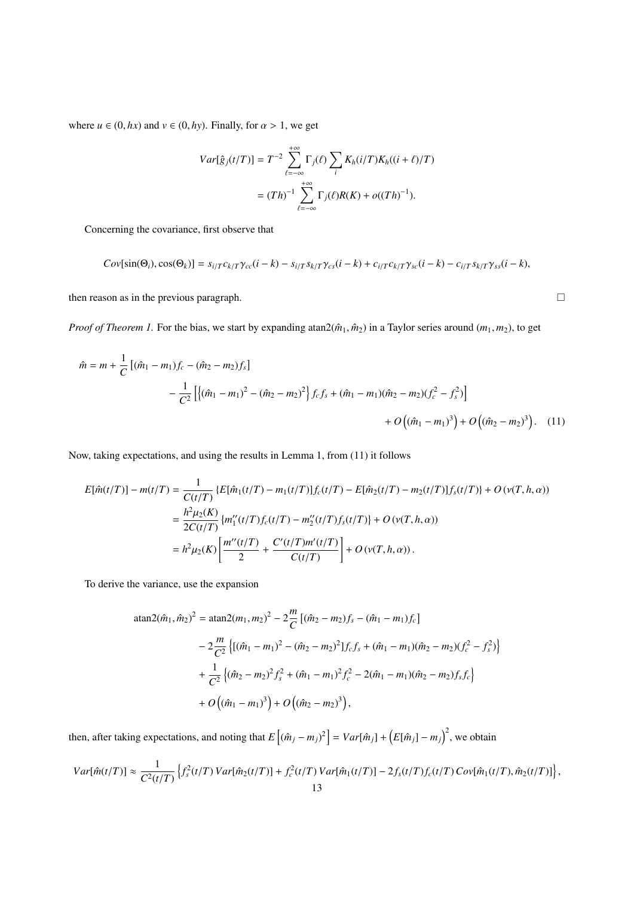where  $u \in (0, hx)$  and  $v \in (0, hy)$ . Finally, for  $\alpha > 1$ , we get

$$
Var[\hat{g}_j(t/T)] = T^{-2} \sum_{\ell=-\infty}^{+\infty} \Gamma_j(\ell) \sum_i K_h(i/T) K_h((i+\ell)/T)
$$

$$
= (Th)^{-1} \sum_{\ell=-\infty}^{+\infty} \Gamma_j(\ell) R(K) + o((Th)^{-1}).
$$

Concerning the covariance, first observe that

$$
Cov[sin(\Theta_i),cos(\Theta_k)] = s_{i/T}c_{k/T}\gamma_{cc}(i-k) - s_{i/T}s_{k/T}\gamma_{cs}(i-k) + c_{i/T}c_{k/T}\gamma_{sc}(i-k) - c_{i/T}s_{k/T}\gamma_{ss}(i-k),
$$

then reason as in the previous paragraph.  $\Box$ 

*Proof of Theorem 1.* For the bias, we start by expanding atan2( $\hat{m}_1$ ,  $\hat{m}_2$ ) in a Taylor series around ( $m_1$ ,  $m_2$ ), to get

$$
\hat{m} = m + \frac{1}{C} \left[ (\hat{m}_1 - m_1) f_c - (\hat{m}_2 - m_2) f_s \right]
$$
  
 
$$
- \frac{1}{C^2} \left[ \{ (\hat{m}_1 - m_1)^2 - (\hat{m}_2 - m_2)^2 \} f_c f_s + (\hat{m}_1 - m_1) (\hat{m}_2 - m_2) (f_c^2 - f_s^2) \right]
$$
  
 
$$
+ O((\hat{m}_1 - m_1)^3) + O((\hat{m}_2 - m_2)^3).
$$
 (11)

Now, taking expectations, and using the results in Lemma 1, from (11) it follows

$$
E[\hat{m}(t/T)] - m(t/T) = \frac{1}{C(t/T)} \{ E[\hat{m}_1(t/T) - m_1(t/T)] f_c(t/T) - E[\hat{m}_2(t/T) - m_2(t/T)] f_s(t/T) \} + O(\nu(T, h, \alpha))
$$
  
= 
$$
\frac{h^2 \mu_2(K)}{2C(t/T)} \{ m''_1(t/T) f_c(t/T) - m''_2(t/T) f_s(t/T) \} + O(\nu(T, h, \alpha))
$$
  
= 
$$
h^2 \mu_2(K) \left[ \frac{m''(t/T)}{2} + \frac{C'(t/T)m'(t/T)}{C(t/T)} \right] + O(\nu(T, h, \alpha)).
$$

To derive the variance, use the expansion

atan2(
$$
\hat{m}_1, \hat{m}_2
$$
)<sup>2</sup> = atan2( $m_1, m_2$ )<sup>2</sup> - 2 $\frac{m}{C}$ [( $\hat{m}_2 - m_2$ ) $f_s - (\hat{m}_1 - m_1)f_c$ ]  
\n $- 2\frac{m}{C^2}$ [( $\hat{m}_1 - m_1$ )<sup>2</sup> - ( $\hat{m}_2 - m_2$ )<sup>2</sup>] $f_c f_s + (\hat{m}_1 - m_1)(\hat{m}_2 - m_2)(f_c^2 - f_s^2)$ ]  
\n $+ \frac{1}{C^2}$ (( $\hat{m}_2 - m_2$ )<sup>2</sup> $f_s^2 + (\hat{m}_1 - m_1)$ <sup>2</sup> $f_c^2 - 2(\hat{m}_1 - m_1)(\hat{m}_2 - m_2)f_s f_c$ ]  
\n $+ O((\hat{m}_1 - m_1)^3) + O((\hat{m}_2 - m_2)^3),$ 

then, after taking expectations, and noting that  $E[(\hat{m}_j - m_j)^2] = Var[\hat{m}_j] + (E[\hat{m}_j] - m_j)^2$ , we obtain

$$
Var[\hat{m}(t/T)] \approx \frac{1}{C^2(t/T)} \left\{ f_s^2(t/T) \, Var[\hat{m}_2(t/T)] + f_c^2(t/T) \, Var[\hat{m}_1(t/T)] - 2f_s(t/T) f_c(t/T) \, Cov[\hat{m}_1(t/T), \hat{m}_2(t/T)] \right\},\tag{13}
$$

$$
\Box
$$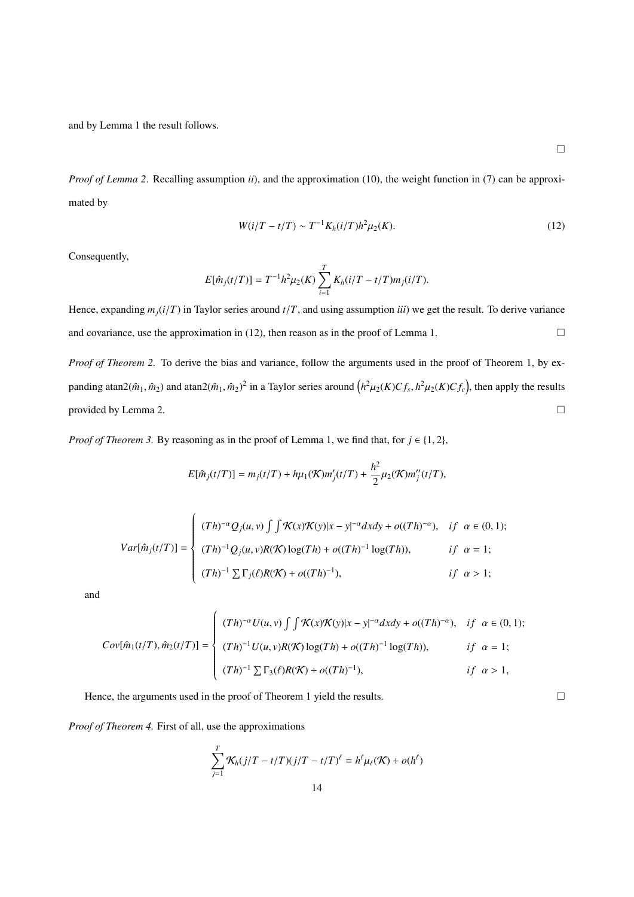and by Lemma 1 the result follows.

 $\Box$ 

*Proof of Lemma 2*. Recalling assumption *ii*), and the approximation (10), the weight function in (7) can be approximated by

$$
W(i/T - t/T) \sim T^{-1} K_h(i/T) h^2 \mu_2(K).
$$
 (12)

Consequently,

$$
E[\hat{m}_j(t/T)] = T^{-1}h^2\mu_2(K) \sum_{i=1}^T K_h(i/T - t/T)m_j(i/T).
$$

Hence, expanding  $m_i(i/T)$  in Taylor series around  $t/T$ , and using assumption *iii*) we get the result. To derive variance and covariance, use the approximation in (12), then reason as in the proof of Lemma 1.

*Proof of Theorem 2.* To derive the bias and variance, follow the arguments used in the proof of Theorem 1, by expanding atan2( $\hat{m}_1$ ,  $\hat{m}_2$ ) and atan2( $\hat{m}_1$ ,  $\hat{m}_2$ )<sup>2</sup> in a Taylor series around  $(h^2\mu_2(K)Cf_s, h^2\mu_2(K)Cf_c)$ , then apply the results provided by Lemma 2.

*Proof of Theorem 3.* By reasoning as in the proof of Lemma 1, we find that, for  $j \in \{1, 2\}$ ,

$$
E[\hat{m}_j(t/T)] = m_j(t/T) + h\mu_1(\mathcal{K})m'_j(t/T) + \frac{h^2}{2}\mu_2(\mathcal{K})m''_j(t/T),
$$

$$
Var[\hat{m}_j(t/T)] = \begin{cases} (Th)^{-\alpha} Q_j(u, v) \int \int \mathcal{K}(x) \mathcal{K}(y) |x - y|^{-\alpha} dx dy + o((Th)^{-\alpha}), & if \alpha \in (0, 1); \\ (Th)^{-1} Q_j(u, v) R(\mathcal{K}) \log(Th) + o((Th)^{-1} \log(Th)), & if \alpha = 1; \\ (Th)^{-1} \sum \Gamma_j(\ell) R(\mathcal{K}) + o((Th)^{-1}), & if \alpha > 1; \end{cases}
$$

and

$$
Cov[\hat{m}_1(t/T), \hat{m}_2(t/T)] = \begin{cases} (Th)^{-\alpha} U(u, v) \int \int \mathcal{K}(x) \mathcal{K}(y) |x - y|^{-\alpha} dxdy + o((Th)^{-\alpha}), & if \alpha \in (0, 1); \\ (Th)^{-1} U(u, v) R(\mathcal{K}) \log(Th) + o((Th)^{-1} \log(Th)), & if \alpha = 1; \\ (Th)^{-1} \sum \Gamma_3(\ell) R(\mathcal{K}) + o((Th)^{-1}), & if \alpha > 1, \end{cases}
$$

Hence, the arguments used in the proof of Theorem 1 yield the results.  $\Box$ 

*Proof of Theorem 4.* First of all, use the approximations

$$
\sum_{j=1}^{T} \mathcal{K}_h(j/T - t/T)(j/T - t/T)^{\ell} = h^{\ell} \mu_{\ell}(\mathcal{K}) + o(h^{\ell})
$$